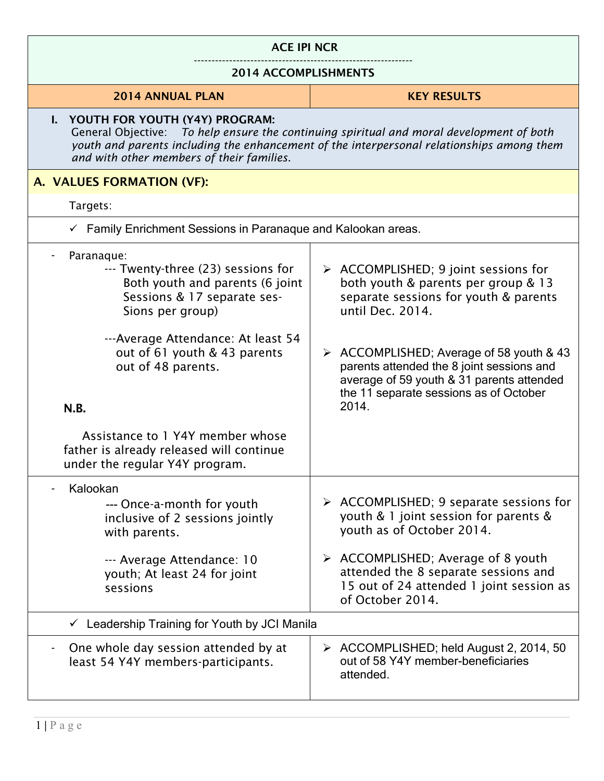| <b>ACE IPI NCR</b>                                                                                                                                                                                                                                                      |                                                                                                                                                                                                      |
|-------------------------------------------------------------------------------------------------------------------------------------------------------------------------------------------------------------------------------------------------------------------------|------------------------------------------------------------------------------------------------------------------------------------------------------------------------------------------------------|
| <b>2014 ACCOMPLISHMENTS</b>                                                                                                                                                                                                                                             |                                                                                                                                                                                                      |
| <b>2014 ANNUAL PLAN</b>                                                                                                                                                                                                                                                 | <b>KEY RESULTS</b>                                                                                                                                                                                   |
| I. YOUTH FOR YOUTH (Y4Y) PROGRAM:<br>General Objective: To help ensure the continuing spiritual and moral development of both<br>youth and parents including the enhancement of the interpersonal relationships among them<br>and with other members of their families. |                                                                                                                                                                                                      |
| A. VALUES FORMATION (VF):                                                                                                                                                                                                                                               |                                                                                                                                                                                                      |
| Targets:                                                                                                                                                                                                                                                                |                                                                                                                                                                                                      |
| Family Enrichment Sessions in Paranaque and Kalookan areas.                                                                                                                                                                                                             |                                                                                                                                                                                                      |
| Paranaque:<br>--- Twenty-three (23) sessions for<br>Both youth and parents (6 joint<br>Sessions & 17 separate ses-<br>Sions per group)<br>---Average Attendance: At least 54                                                                                            | $\triangleright$ ACCOMPLISHED; 9 joint sessions for<br>both youth & parents per group & 13<br>separate sessions for youth & parents<br>until Dec. 2014.                                              |
| out of 61 youth & 43 parents<br>out of 48 parents.<br>N.B.                                                                                                                                                                                                              | $\triangleright$ ACCOMPLISHED; Average of 58 youth & 43<br>parents attended the 8 joint sessions and<br>average of 59 youth & 31 parents attended<br>the 11 separate sessions as of October<br>2014. |
| Assistance to 1 Y4Y member whose<br>father is already released will continue<br>under the regular Y4Y program.                                                                                                                                                          |                                                                                                                                                                                                      |
| Kalookan<br>--- Once-a-month for youth<br>inclusive of 2 sessions jointly<br>with parents.                                                                                                                                                                              | > ACCOMPLISHED; 9 separate sessions for<br>youth & 1 joint session for parents &<br>youth as of October 2014.<br>> ACCOMPLISHED; Average of 8 youth                                                  |
| --- Average Attendance: 10<br>youth; At least 24 for joint<br>sessions                                                                                                                                                                                                  | attended the 8 separate sessions and<br>15 out of 24 attended 1 joint session as<br>of October 2014.                                                                                                 |
| $\checkmark$ Leadership Training for Youth by JCI Manila                                                                                                                                                                                                                |                                                                                                                                                                                                      |
| One whole day session attended by at<br>least 54 Y4Y members-participants.                                                                                                                                                                                              | $\triangleright$ ACCOMPLISHED; held August 2, 2014, 50<br>out of 58 Y4Y member-beneficiaries<br>attended.                                                                                            |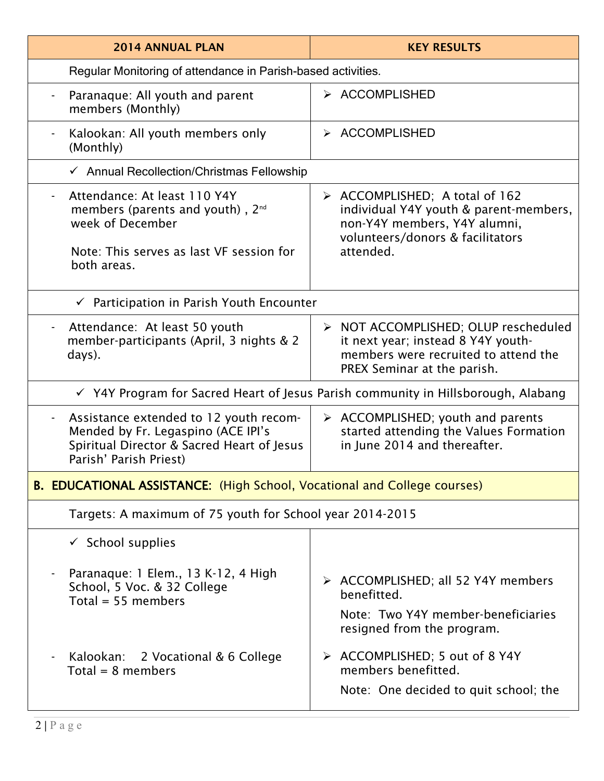| <b>2014 ANNUAL PLAN</b>                                                                                                                              | <b>KEY RESULTS</b>                                                                                                                                                       |
|------------------------------------------------------------------------------------------------------------------------------------------------------|--------------------------------------------------------------------------------------------------------------------------------------------------------------------------|
| Regular Monitoring of attendance in Parish-based activities.                                                                                         |                                                                                                                                                                          |
| Paranaque: All youth and parent<br>members (Monthly)                                                                                                 | > ACCOMPLISHED                                                                                                                                                           |
| Kalookan: All youth members only<br>(Monthly)                                                                                                        | > ACCOMPLISHED                                                                                                                                                           |
| $\checkmark$ Annual Recollection/Christmas Fellowship                                                                                                |                                                                                                                                                                          |
| Attendance: At least 110 Y4Y<br>members (parents and youth), 2 <sup>nd</sup><br>week of December<br>Note: This serves as last VF session for         | $\triangleright$ ACCOMPLISHED; A total of 162<br>individual Y4Y youth & parent-members,<br>non-Y4Y members, Y4Y alumni,<br>volunteers/donors & facilitators<br>attended. |
| both areas.                                                                                                                                          |                                                                                                                                                                          |
| $\checkmark$ Participation in Parish Youth Encounter                                                                                                 |                                                                                                                                                                          |
| Attendance: At least 50 youth<br>member-participants (April, 3 nights & 2<br>days).                                                                  | > NOT ACCOMPLISHED; OLUP rescheduled<br>it next year; instead 8 Y4Y youth-<br>members were recruited to attend the<br>PREX Seminar at the parish.                        |
| √ Y4Y Program for Sacred Heart of Jesus Parish community in Hillsborough, Alabang                                                                    |                                                                                                                                                                          |
| Assistance extended to 12 youth recom-<br>Mended by Fr. Legaspino (ACE IPI's<br>Spiritual Director & Sacred Heart of Jesus<br>Parish' Parish Priest) | $\triangleright$ ACCOMPLISHED; youth and parents<br>started attending the Values Formation<br>in June 2014 and thereafter.                                               |
| <b>B. EDUCATIONAL ASSISTANCE:</b> (High School, Vocational and College courses)                                                                      |                                                                                                                                                                          |
| Targets: A maximum of 75 youth for School year 2014-2015                                                                                             |                                                                                                                                                                          |
| $\checkmark$ School supplies                                                                                                                         |                                                                                                                                                                          |
| Paranaque: 1 Elem., 13 K-12, 4 High<br>School, 5 Voc. & 32 College<br>Total = $55$ members                                                           | > ACCOMPLISHED; all 52 Y4Y members<br>benefitted.<br>Note: Two Y4Y member-beneficiaries<br>resigned from the program.                                                    |
| 2 Vocational & 6 College<br>Kalookan:<br>Total = $8$ members                                                                                         | > ACCOMPLISHED; 5 out of 8 Y4Y<br>members benefitted.<br>Note: One decided to quit school; the                                                                           |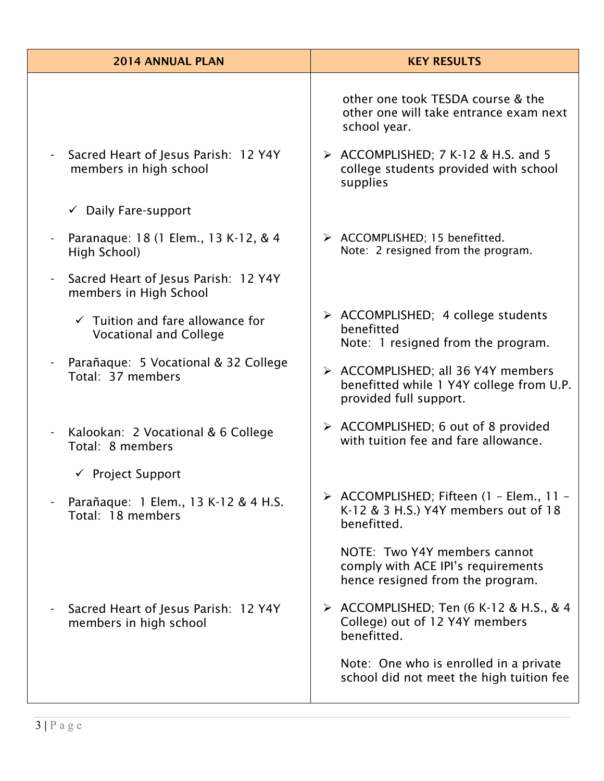| <b>2014 ANNUAL PLAN</b>                                                      | <b>KEY RESULTS</b>                                                                                       |
|------------------------------------------------------------------------------|----------------------------------------------------------------------------------------------------------|
|                                                                              | other one took TESDA course & the<br>other one will take entrance exam next<br>school year.              |
| Sacred Heart of Jesus Parish: 12 Y4Y<br>members in high school               | > ACCOMPLISHED; 7 K-12 & H.S. and 5<br>college students provided with school<br>supplies                 |
| $\checkmark$ Daily Fare-support                                              |                                                                                                          |
| Paranaque: 18 (1 Elem., 13 K-12, & 4<br>High School)                         | > ACCOMPLISHED; 15 benefitted.<br>Note: 2 resigned from the program.                                     |
| Sacred Heart of Jesus Parish: 12 Y4Y<br>members in High School               |                                                                                                          |
| $\checkmark$ Tuition and fare allowance for<br><b>Vocational and College</b> | $\triangleright$ ACCOMPLISHED; 4 college students<br>benefitted<br>Note: 1 resigned from the program.    |
| Parañaque: 5 Vocational & 32 College<br>Total: 37 members                    | > ACCOMPLISHED; all 36 Y4Y members<br>benefitted while 1 Y4Y college from U.P.<br>provided full support. |
| Kalookan: 2 Vocational & 6 College<br>Total: 8 members                       | $\triangleright$ ACCOMPLISHED; 6 out of 8 provided<br>with tuition fee and fare allowance.               |
| $\checkmark$ Project Support                                                 |                                                                                                          |
| Parañaque: 1 Elem., 13 K-12 & 4 H.S.<br>Total: 18 members                    | > ACCOMPLISHED; Fifteen (1 - Elem., 11 -<br>K-12 & 3 H.S.) Y4Y members out of 18<br>benefitted.          |
|                                                                              | NOTE: Two Y4Y members cannot<br>comply with ACE IPI's requirements<br>hence resigned from the program.   |
| Sacred Heart of Jesus Parish: 12 Y4Y<br>members in high school               | $\triangleright$ ACCOMPLISHED; Ten (6 K-12 & H.S., & 4<br>College) out of 12 Y4Y members<br>benefitted.  |
|                                                                              | Note: One who is enrolled in a private<br>school did not meet the high tuition fee                       |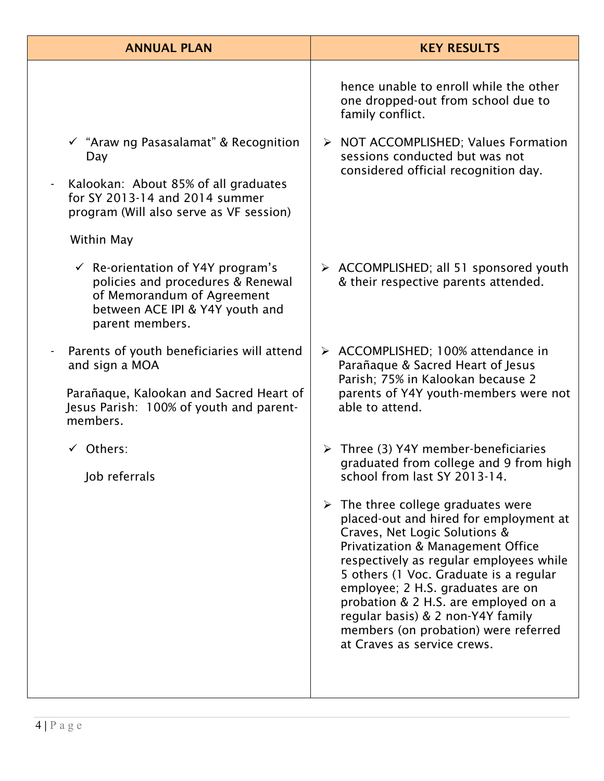| <b>ANNUAL PLAN</b>                                                                                                                                                                                          | <b>KEY RESULTS</b>                                                                                                                                                                                                                                                                                                                                                                                                                                         |
|-------------------------------------------------------------------------------------------------------------------------------------------------------------------------------------------------------------|------------------------------------------------------------------------------------------------------------------------------------------------------------------------------------------------------------------------------------------------------------------------------------------------------------------------------------------------------------------------------------------------------------------------------------------------------------|
|                                                                                                                                                                                                             | hence unable to enroll while the other<br>one dropped-out from school due to<br>family conflict.                                                                                                                                                                                                                                                                                                                                                           |
| $\checkmark$ "Araw ng Pasasalamat" & Recognition<br>Day<br>Kalookan: About 85% of all graduates<br>$\frac{1}{2}$<br>for SY 2013-14 and 2014 summer<br>program (Will also serve as VF session)<br>Within May | > NOT ACCOMPLISHED; Values Formation<br>sessions conducted but was not<br>considered official recognition day.                                                                                                                                                                                                                                                                                                                                             |
| $\checkmark$ Re-orientation of Y4Y program's<br>policies and procedures & Renewal<br>of Memorandum of Agreement<br>between ACE IPI & Y4Y youth and<br>parent members.                                       | $\triangleright$ ACCOMPLISHED; all 51 sponsored youth<br>& their respective parents attended.                                                                                                                                                                                                                                                                                                                                                              |
| Parents of youth beneficiaries will attend<br>and sign a MOA<br>Parañaque, Kalookan and Sacred Heart of<br>Jesus Parish: 100% of youth and parent-<br>members.                                              | $\triangleright$ ACCOMPLISHED; 100% attendance in<br>Parañaque & Sacred Heart of Jesus<br>Parish; 75% in Kalookan because 2<br>parents of Y4Y youth-members were not<br>able to attend.                                                                                                                                                                                                                                                                    |
| $\checkmark$ Others:<br>Job referrals                                                                                                                                                                       | $\triangleright$ Three (3) Y4Y member-beneficiaries<br>graduated from college and 9 from high<br>school from last SY 2013-14.                                                                                                                                                                                                                                                                                                                              |
|                                                                                                                                                                                                             | $\triangleright$ The three college graduates were<br>placed-out and hired for employment at<br>Craves, Net Logic Solutions &<br><b>Privatization &amp; Management Office</b><br>respectively as regular employees while<br>5 others (1 Voc. Graduate is a regular<br>employee; 2 H.S. graduates are on<br>probation & 2 H.S. are employed on a<br>regular basis) & 2 non-Y4Y family<br>members (on probation) were referred<br>at Craves as service crews. |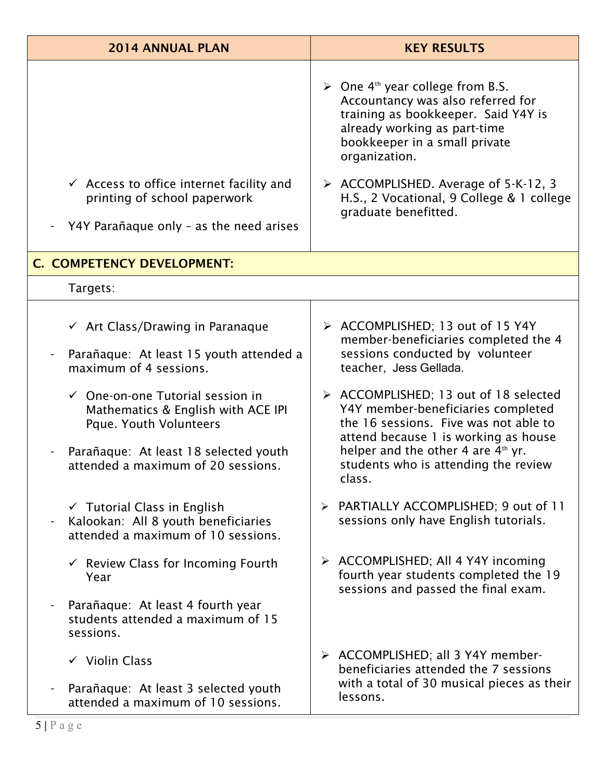| <b>2014 ANNUAL PLAN</b>                                                                                                                              | <b>KEY RESULTS</b>                                                                                                                                                                                                        |
|------------------------------------------------------------------------------------------------------------------------------------------------------|---------------------------------------------------------------------------------------------------------------------------------------------------------------------------------------------------------------------------|
|                                                                                                                                                      | $\triangleright$ One 4 <sup>th</sup> year college from B.S.<br>Accountancy was also referred for<br>training as bookkeeper. Said Y4Y is<br>already working as part-time<br>bookkeeper in a small private<br>organization. |
| $\checkmark$ Access to office internet facility and<br>printing of school paperwork                                                                  | > ACCOMPLISHED. Average of 5-K-12, 3<br>H.S., 2 Vocational, 9 College & 1 college<br>graduate benefitted.                                                                                                                 |
| Y4Y Parañaque only - as the need arises                                                                                                              |                                                                                                                                                                                                                           |
| C. COMPETENCY DEVELOPMENT:                                                                                                                           |                                                                                                                                                                                                                           |
| Targets:                                                                                                                                             |                                                                                                                                                                                                                           |
| $\checkmark$ Art Class/Drawing in Paranaque<br>Parañaque: At least 15 youth attended a<br>maximum of 4 sessions.                                     | > ACCOMPLISHED; 13 out of 15 Y4Y<br>member-beneficiaries completed the 4<br>sessions conducted by volunteer<br>teacher, Jess Gellada.                                                                                     |
| $\checkmark$ One-on-one Tutorial session in<br>Mathematics & English with ACE IPI<br>Pque. Youth Volunteers<br>Parañaque: At least 18 selected youth | > ACCOMPLISHED; 13 out of 18 selected<br>Y4Y member-beneficiaries completed<br>the 16 sessions. Five was not able to<br>attend because 1 is working as house<br>helper and the other 4 are $4th$ yr.                      |
| attended a maximum of 20 sessions.                                                                                                                   | students who is attending the review<br>class.                                                                                                                                                                            |
| $\checkmark$ Tutorial Class in English<br>Kalookan: All 8 youth beneficiaries<br>attended a maximum of 10 sessions.                                  | > PARTIALLY ACCOMPLISHED; 9 out of 11<br>sessions only have English tutorials.                                                                                                                                            |
| $\checkmark$ Review Class for Incoming Fourth<br>Year                                                                                                | > ACCOMPLISHED; All 4 Y4Y incoming<br>fourth year students completed the 19<br>sessions and passed the final exam.                                                                                                        |
| Parañaque: At least 4 fourth year<br>students attended a maximum of 15<br>sessions.                                                                  |                                                                                                                                                                                                                           |
| $\checkmark$ Violin Class                                                                                                                            | > ACCOMPLISHED; all 3 Y4Y member-<br>beneficiaries attended the 7 sessions                                                                                                                                                |
| Parañaque: At least 3 selected youth<br>attended a maximum of 10 sessions.                                                                           | with a total of 30 musical pieces as their<br>lessons.                                                                                                                                                                    |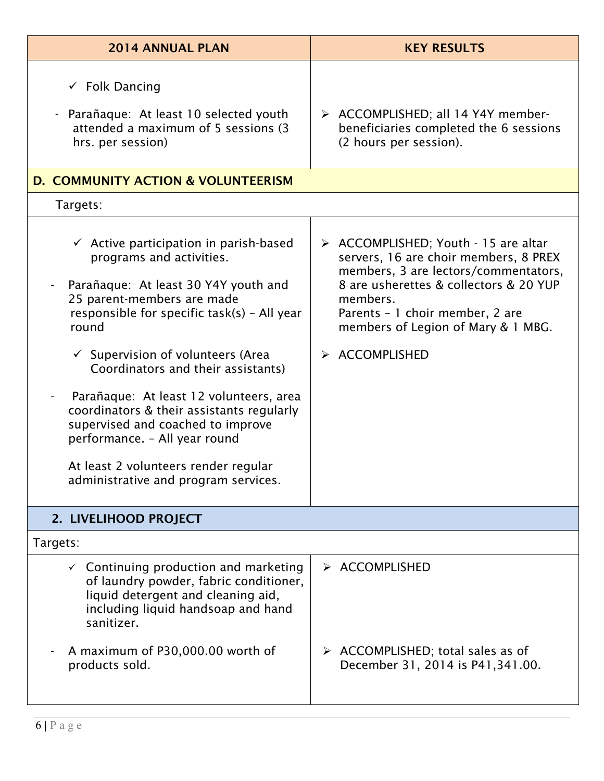| <b>2014 ANNUAL PLAN</b>                                                                                                                                                                                                                                                                                                                                                                                                                                                                                                                         | <b>KEY RESULTS</b>                                                                                                                                                                                                                                                     |
|-------------------------------------------------------------------------------------------------------------------------------------------------------------------------------------------------------------------------------------------------------------------------------------------------------------------------------------------------------------------------------------------------------------------------------------------------------------------------------------------------------------------------------------------------|------------------------------------------------------------------------------------------------------------------------------------------------------------------------------------------------------------------------------------------------------------------------|
| $\checkmark$ Folk Dancing<br>Parañaque: At least 10 selected youth<br>attended a maximum of 5 sessions (3)<br>hrs. per session)                                                                                                                                                                                                                                                                                                                                                                                                                 | > ACCOMPLISHED; all 14 Y4Y member-<br>beneficiaries completed the 6 sessions<br>(2 hours per session).                                                                                                                                                                 |
| D. COMMUNITY ACTION & VOLUNTEERISM                                                                                                                                                                                                                                                                                                                                                                                                                                                                                                              |                                                                                                                                                                                                                                                                        |
| Targets:                                                                                                                                                                                                                                                                                                                                                                                                                                                                                                                                        |                                                                                                                                                                                                                                                                        |
| $\checkmark$ Active participation in parish-based<br>programs and activities.<br>Parañaque: At least 30 Y4Y youth and<br>25 parent-members are made<br>responsible for specific task(s) - All year<br>round<br>$\checkmark$ Supervision of volunteers (Area<br>Coordinators and their assistants)<br>Parañaque: At least 12 volunteers, area<br>coordinators & their assistants regularly<br>supervised and coached to improve<br>performance. - All year round<br>At least 2 volunteers render regular<br>administrative and program services. | > ACCOMPLISHED; Youth - 15 are altar<br>servers, 16 are choir members, 8 PREX<br>members, 3 are lectors/commentators,<br>8 are usherettes & collectors & 20 YUP<br>members.<br>Parents - 1 choir member, 2 are<br>members of Legion of Mary & 1 MBG.<br>> ACCOMPLISHED |
| 2. LIVELIHOOD PROJECT                                                                                                                                                                                                                                                                                                                                                                                                                                                                                                                           |                                                                                                                                                                                                                                                                        |
| Targets:                                                                                                                                                                                                                                                                                                                                                                                                                                                                                                                                        |                                                                                                                                                                                                                                                                        |
| $\checkmark$ Continuing production and marketing<br>of laundry powder, fabric conditioner,<br>liquid detergent and cleaning aid,<br>including liquid handsoap and hand<br>sanitizer.                                                                                                                                                                                                                                                                                                                                                            | > ACCOMPLISHED                                                                                                                                                                                                                                                         |
| A maximum of P30,000.00 worth of<br>products sold.                                                                                                                                                                                                                                                                                                                                                                                                                                                                                              | $\triangleright$ ACCOMPLISHED; total sales as of<br>December 31, 2014 is P41, 341.00.                                                                                                                                                                                  |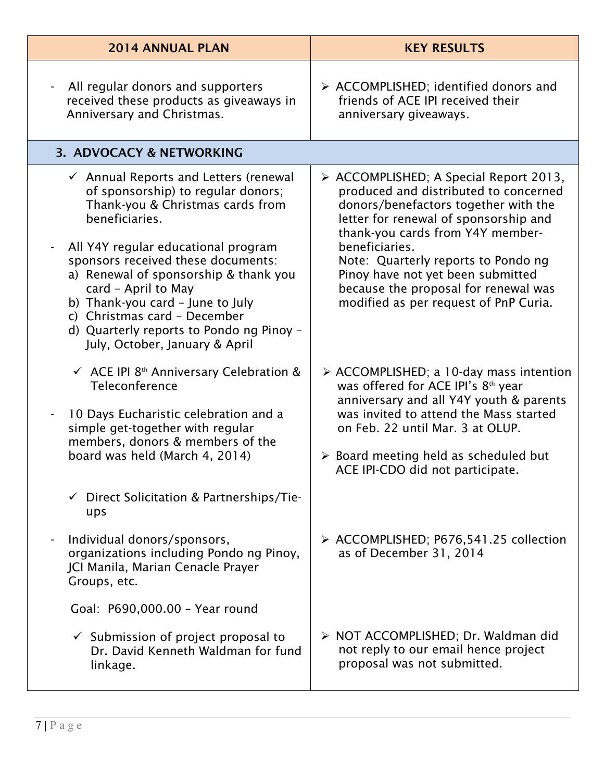| <b>2014 ANNUAL PLAN</b>                                                                                                                                                                                                                                                                                                                                                                                                                     | <b>KEY RESULTS</b>                                                                                                                                                                                                                                                                                                                                                                  |
|---------------------------------------------------------------------------------------------------------------------------------------------------------------------------------------------------------------------------------------------------------------------------------------------------------------------------------------------------------------------------------------------------------------------------------------------|-------------------------------------------------------------------------------------------------------------------------------------------------------------------------------------------------------------------------------------------------------------------------------------------------------------------------------------------------------------------------------------|
| All regular donors and supporters<br>received these products as giveaways in<br>Anniversary and Christmas.                                                                                                                                                                                                                                                                                                                                  | $\triangleright$ ACCOMPLISHED; identified donors and<br>friends of ACE IPI received their<br>anniversary giveaways.                                                                                                                                                                                                                                                                 |
| 3. ADVOCACY & NETWORKING                                                                                                                                                                                                                                                                                                                                                                                                                    |                                                                                                                                                                                                                                                                                                                                                                                     |
| $\checkmark$ Annual Reports and Letters (renewal<br>of sponsorship) to regular donors;<br>Thank-you & Christmas cards from<br>beneficiaries.<br>All Y4Y regular educational program<br>sponsors received these documents:<br>a) Renewal of sponsorship & thank you<br>card - April to May<br>b) Thank-you card - June to July<br>c) Christmas card - December<br>d) Quarterly reports to Pondo ng Pinoy -<br>July, October, January & April | > ACCOMPLISHED; A Special Report 2013,<br>produced and distributed to concerned<br>donors/benefactors together with the<br>letter for renewal of sponsorship and<br>thank-you cards from Y4Y member-<br>beneficiaries.<br>Note: Quarterly reports to Pondo ng<br>Pinoy have not yet been submitted<br>because the proposal for renewal was<br>modified as per request of PnP Curia. |
| $\checkmark$ ACE IPI 8 <sup>th</sup> Anniversary Celebration &<br>Teleconference<br>10 Days Eucharistic celebration and a<br>simple get-together with regular<br>members, donors & members of the<br>board was held (March 4, 2014)                                                                                                                                                                                                         | $\triangleright$ ACCOMPLISHED; a 10-day mass intention<br>was offered for ACE IPI's 8 <sup>th</sup> year<br>anniversary and all Y4Y youth & parents<br>was invited to attend the Mass started<br>on Feb. 22 until Mar. 3 at OLUP.<br>$\triangleright$ Board meeting held as scheduled but<br>ACE IPI-CDO did not participate.                                                       |
| $\checkmark$ Direct Solicitation & Partnerships/Tie-<br>ups<br>Individual donors/sponsors,<br>organizations including Pondo ng Pinoy,<br>JCI Manila, Marian Cenacle Prayer<br>Groups, etc.                                                                                                                                                                                                                                                  | > ACCOMPLISHED; P676,541.25 collection<br>as of December 31, 2014                                                                                                                                                                                                                                                                                                                   |
| Goal: P690,000.00 - Year round<br>$\checkmark$ Submission of project proposal to<br>Dr. David Kenneth Waldman for fund<br>linkage.                                                                                                                                                                                                                                                                                                          | > NOT ACCOMPLISHED; Dr. Waldman did<br>not reply to our email hence project<br>proposal was not submitted.                                                                                                                                                                                                                                                                          |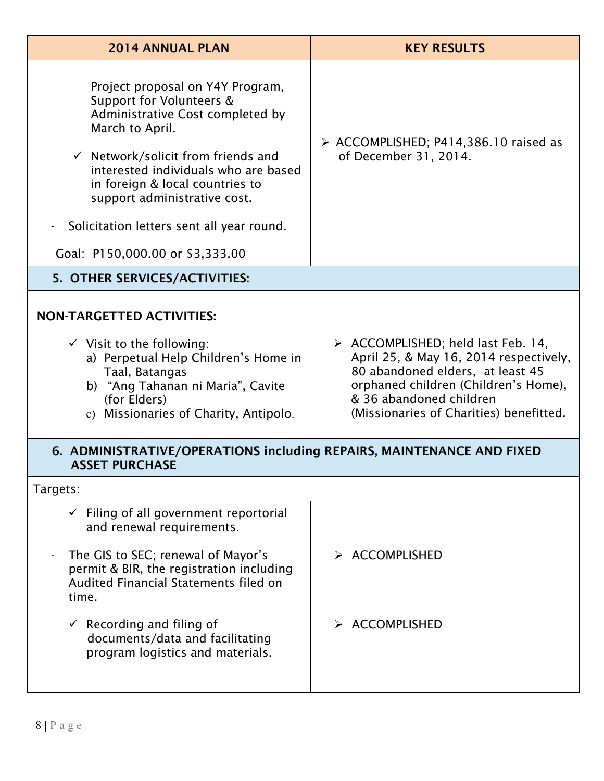| <b>2014 ANNUAL PLAN</b>                                                                                                                                                                                                                                                                                                                                                                         | <b>KEY RESULTS</b>                                                                                                                                                                                                                            |
|-------------------------------------------------------------------------------------------------------------------------------------------------------------------------------------------------------------------------------------------------------------------------------------------------------------------------------------------------------------------------------------------------|-----------------------------------------------------------------------------------------------------------------------------------------------------------------------------------------------------------------------------------------------|
| Project proposal on Y4Y Program,<br>Support for Volunteers &<br>Administrative Cost completed by<br>March to April.<br>$\checkmark$ Network/solicit from friends and<br>interested individuals who are based<br>in foreign & local countries to<br>support administrative cost.<br>Solicitation letters sent all year round.<br>$\qquad \qquad \blacksquare$<br>Goal: P150,000.00 or \$3,333.00 | $\triangleright$ ACCOMPLISHED; P414,386.10 raised as<br>of December 31, 2014.                                                                                                                                                                 |
| 5. OTHER SERVICES/ACTIVITIES:                                                                                                                                                                                                                                                                                                                                                                   |                                                                                                                                                                                                                                               |
| <b>NON-TARGETTED ACTIVITIES:</b><br>$\checkmark$ Visit to the following:<br>a) Perpetual Help Children's Home in<br>Taal, Batangas<br>b) "Ang Tahanan ni Maria", Cavite<br>(for Elders)<br>c) Missionaries of Charity, Antipolo.                                                                                                                                                                | $\triangleright$ ACCOMPLISHED; held last Feb. 14,<br>April 25, & May 16, 2014 respectively,<br>80 abandoned elders, at least 45<br>orphaned children (Children's Home),<br>& 36 abandoned children<br>(Missionaries of Charities) benefitted. |
| 6. ADMINISTRATIVE/OPERATIONS including REPAIRS, MAINTENANCE AND FIXED<br><b>ASSET PURCHASE</b>                                                                                                                                                                                                                                                                                                  |                                                                                                                                                                                                                                               |
| Targets:                                                                                                                                                                                                                                                                                                                                                                                        |                                                                                                                                                                                                                                               |
| $\checkmark$ Filing of all government reportorial<br>and renewal requirements.<br>The GIS to SEC; renewal of Mayor's<br>permit & BIR, the registration including<br>Audited Financial Statements filed on<br>time.<br>$\checkmark$ Recording and filing of<br>documents/data and facilitating<br>program logistics and materials.                                                               | $\triangleright$ ACCOMPLISHED<br>$\triangleright$ ACCOMPLISHED                                                                                                                                                                                |